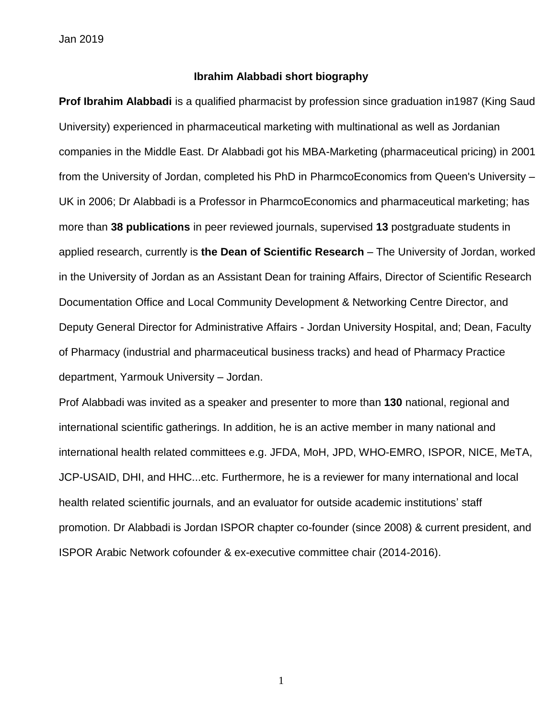Jan 2019

#### **Ibrahim Alabbadi short biography**

**Prof Ibrahim Alabbadi** is a qualified pharmacist by profession since graduation in1987 (King Saud University) experienced in pharmaceutical marketing with multinational as well as Jordanian companies in the Middle East. Dr Alabbadi got his MBA-Marketing (pharmaceutical pricing) in 2001 from the University of Jordan, completed his PhD in PharmcoEconomics from Queen's University – UK in 2006; Dr Alabbadi is a Professor in PharmcoEconomics and pharmaceutical marketing; has more than **38 publications** in peer reviewed journals, supervised **13** postgraduate students in applied research, currently is **the Dean of Scientific Research** – The University of Jordan, worked in the University of Jordan as an Assistant Dean for training Affairs, Director of Scientific Research Documentation Office and Local Community Development & Networking Centre Director, and Deputy General Director for Administrative Affairs - Jordan University Hospital, and; Dean, Faculty of Pharmacy (industrial and pharmaceutical business tracks) and head of Pharmacy Practice department, Yarmouk University – Jordan.

Prof Alabbadi was invited as a speaker and presenter to more than **130** national, regional and international scientific gatherings. In addition, he is an active member in many national and international health related committees e.g. JFDA, MoH, JPD, WHO-EMRO, ISPOR, NICE, MeTA, JCP-USAID, DHI, and HHC...etc. Furthermore, he is a reviewer for many international and local health related scientific journals, and an evaluator for outside academic institutions' staff promotion. Dr Alabbadi is Jordan ISPOR chapter co-founder (since 2008) & current president, and ISPOR Arabic Network cofounder & ex-executive committee chair (2014-2016).

1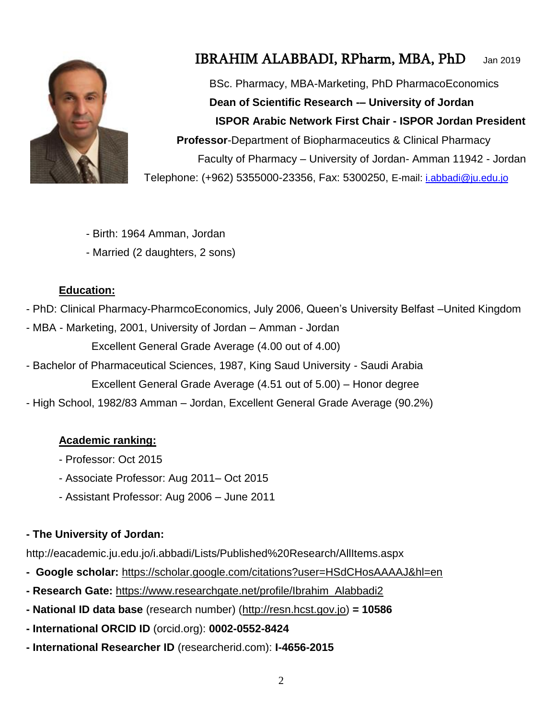

# IBRAHIM ALABBADI, RPharm, MBA, PhD Jan 2019

BSc. Pharmacy, MBA-Marketing, PhD PharmacoEconomics **Dean of Scientific Research -– University of Jordan ISPOR Arabic Network First Chair - ISPOR Jordan President Professor**-Department of Biopharmaceutics & Clinical Pharmacy Faculty of Pharmacy – University of Jordan- Amman 11942 - Jordan Telephone: (+962) 5355000-23356, Fax: 5300250, E-mail: [i.abbadi@ju.edu.jo](mailto:i.abbadi@ju.edu.jo)

- Birth: 1964 Amman, Jordan
- Married (2 daughters, 2 sons)

#### **Education:**

- PhD: Clinical Pharmacy-PharmcoEconomics, July 2006, Queen's University Belfast –United Kingdom
- MBA Marketing, 2001, University of Jordan Amman Jordan Excellent General Grade Average (4.00 out of 4.00)
- Bachelor of Pharmaceutical Sciences, 1987, King Saud University Saudi Arabia

Excellent General Grade Average (4.51 out of 5.00) – Honor degree

- High School, 1982/83 Amman – Jordan, Excellent General Grade Average (90.2%)

#### **Academic ranking:**

- Professor: Oct 2015
- Associate Professor: Aug 2011– Oct 2015
- Assistant Professor: Aug 2006 June 2011

## **- The University of Jordan:**

http://eacademic.ju.edu.jo/i.abbadi/Lists/Published%20Research/AllItems.aspx

- **- Google scholar:** <https://scholar.google.com/citations?user=HSdCHosAAAAJ&hl=en>
- **- Research Gate:** [https://www.researchgate.net/profile/Ibrahim\\_Alabbadi2](https://www.researchgate.net/profile/Ibrahim_Alabbadi2)
- **- National ID data base** (research number) [\(http://resn.hcst.gov.jo\)](http://resn.hcst.gov.jo/) **= 10586**
- **- International ORCID ID** (orcid.org): **0002-0552-8424**
- **- International Researcher ID** (researcherid.com): **I-4656-2015**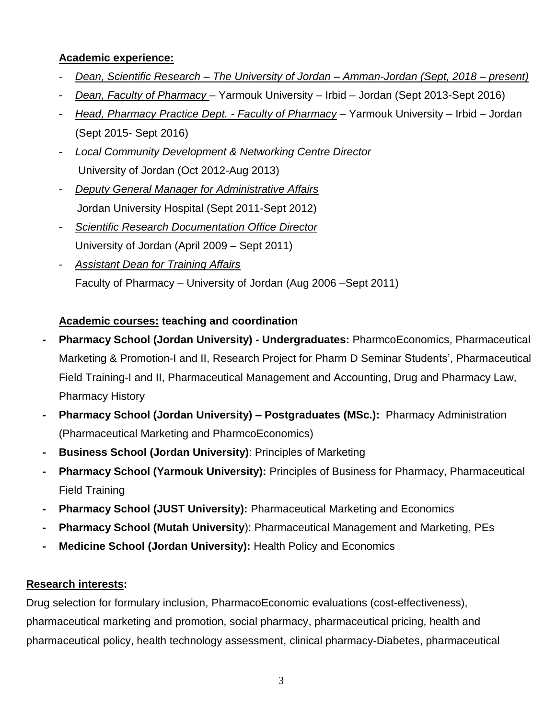#### **Academic experience:**

- *Dean, Scientific Research – The University of Jordan – Amman-Jordan (Sept, 2018 – present)*
- *Dean, Faculty of Pharmacy*  Yarmouk University Irbid Jordan (Sept 2013-Sept 2016)
- *Head, Pharmacy Practice Dept. - Faculty of Pharmacy* Yarmouk University Irbid Jordan (Sept 2015- Sept 2016)
- *Local Community Development & Networking Centre Director* University of Jordan (Oct 2012-Aug 2013)
- *Deputy General Manager for Administrative Affairs* Jordan University Hospital (Sept 2011-Sept 2012)
- *Scientific Research Documentation Office Director* University of Jordan (April 2009 – Sept 2011)
- *Assistant Dean for Training Affairs* Faculty of Pharmacy – University of Jordan (Aug 2006 –Sept 2011)

## **Academic courses: teaching and coordination**

- **- Pharmacy School (Jordan University) - Undergraduates:** PharmcoEconomics, Pharmaceutical Marketing & Promotion-I and II, Research Project for Pharm D Seminar Students', Pharmaceutical Field Training-I and II, Pharmaceutical Management and Accounting, Drug and Pharmacy Law, Pharmacy History
- **- Pharmacy School (Jordan University) – Postgraduates (MSc.):** Pharmacy Administration (Pharmaceutical Marketing and PharmcoEconomics)
- **- Business School (Jordan University)**: Principles of Marketing
- **- Pharmacy School (Yarmouk University):** Principles of Business for Pharmacy, Pharmaceutical Field Training
- **- Pharmacy School (JUST University):** Pharmaceutical Marketing and Economics
- **- Pharmacy School (Mutah University**): Pharmaceutical Management and Marketing, PEs
- **- Medicine School (Jordan University):** Health Policy and Economics

## **Research interests:**

Drug selection for formulary inclusion, PharmacoEconomic evaluations (cost-effectiveness), pharmaceutical marketing and promotion, social pharmacy, pharmaceutical pricing, health and pharmaceutical policy, health technology assessment, clinical pharmacy-Diabetes, pharmaceutical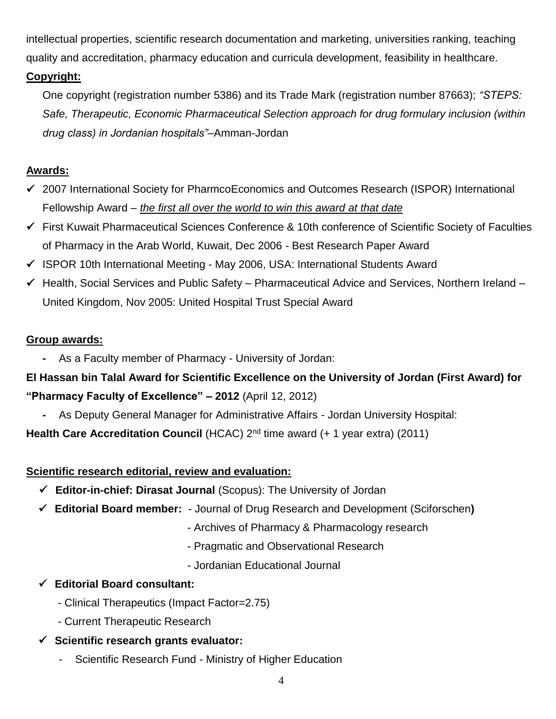intellectual properties, scientific research documentation and marketing, universities ranking, teaching quality and accreditation, pharmacy education and curricula development, feasibility in healthcare.

## **Copyright:**

One copyright (registration number 5386) and its Trade Mark (registration number 87663); *"STEPS: Safe, Therapeutic, Economic Pharmaceutical Selection approach for drug formulary inclusion (within drug class) in Jordanian hospitals"*–Amman-Jordan

#### **Awards:**

- 2007 International Society for PharmcoEconomics and Outcomes Research (ISPOR) International Fellowship Award – *the first all over the world to win this award at that date*
- First Kuwait Pharmaceutical Sciences Conference & 10th conference of Scientific Society of Faculties of Pharmacy in the Arab World, Kuwait, Dec 2006 - Best Research Paper Award
- $\checkmark$  ISPOR 10th International Meeting May 2006, USA: International Students Award
- $\checkmark$  Health, Social Services and Public Safety Pharmaceutical Advice and Services, Northern Ireland United Kingdom, Nov 2005: United Hospital Trust Special Award

#### **Group awards:**

**-** As a Faculty member of Pharmacy - University of Jordan:

# **El Hassan bin Talal Award for Scientific Excellence on the University of Jordan (First Award) for "Pharmacy Faculty of Excellence" – 2012** (April 12, 2012)

**-** As Deputy General Manager for Administrative Affairs - Jordan University Hospital:

**Health Care Accreditation Council** (HCAC) 2<sup>nd</sup> time award (+ 1 year extra) (2011)

#### **Scientific research editorial, review and evaluation:**

- **Editor-in-chief: Dirasat Journal** (Scopus): The University of Jordan
- **Editorial Board member:**  Journal of Drug Research and Development (Sciforschen**)**
	- Archives of Pharmacy & Pharmacology research
	- Pragmatic and Observational Research
	- Jordanian Educational Journal

#### **Editorial Board consultant:**

- Clinical Therapeutics (Impact Factor=2.75)
- Current Therapeutic Research
- **Scientific research grants evaluator:**
	- Scientific Research Fund Ministry of Higher Education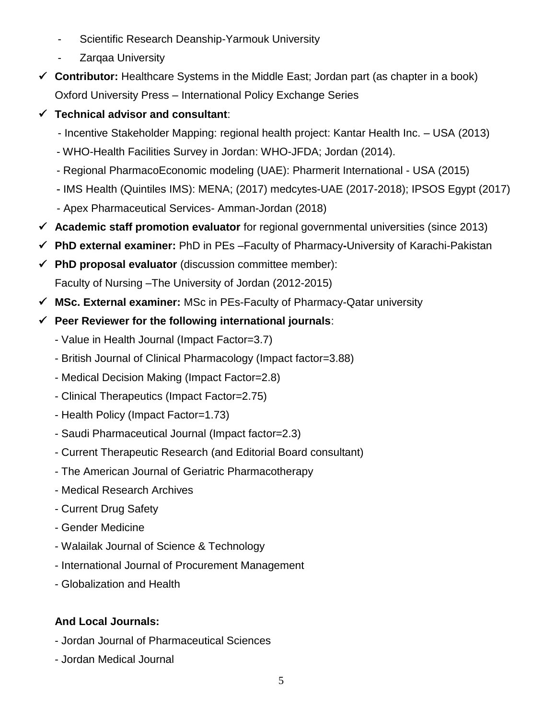- Scientific Research Deanship-Yarmouk University
- Zarqaa University
- **Contributor:** Healthcare Systems in the Middle East; Jordan part (as chapter in a book) Oxford University Press – International Policy Exchange Series
- **Technical advisor and consultant**:
	- Incentive Stakeholder Mapping: regional health project: Kantar Health Inc. USA (2013)
	- WHO-Health Facilities Survey in Jordan: WHO-JFDA; Jordan (2014).
	- Regional PharmacoEconomic modeling (UAE): Pharmerit International USA (2015)
	- IMS Health (Quintiles IMS): MENA; (2017) medcytes-UAE (2017-2018); IPSOS Egypt (2017)
	- Apex Pharmaceutical Services- Amman-Jordan (2018)
- **Academic staff promotion evaluator** for regional governmental universities (since 2013)
- **PhD external examiner:** PhD in PEs –Faculty of Pharmacy**-**University of Karachi-Pakistan
- **PhD proposal evaluator** (discussion committee member): Faculty of Nursing –The University of Jordan (2012-2015)
- **MSc. External examiner:** MSc in PEs-Faculty of Pharmacy-Qatar university

#### **Peer Reviewer for the following international journals**:

- Value in Health Journal (Impact Factor=3.7)
- British Journal of Clinical Pharmacology (Impact factor=3.88)
- Medical Decision Making (Impact Factor=2.8)
- Clinical Therapeutics (Impact Factor=2.75)
- Health Policy (Impact Factor=1.73)
- Saudi Pharmaceutical Journal (Impact factor=2.3)
- Current Therapeutic Research (and Editorial Board consultant)
- The American Journal of Geriatric Pharmacotherapy
- Medical Research Archives
- Current Drug Safety
- Gender Medicine
- Walailak Journal of Science & Technology
- International Journal of Procurement Management
- Globalization and Health

## **And Local Journals:**

- Jordan Journal of Pharmaceutical Sciences
- Jordan Medical Journal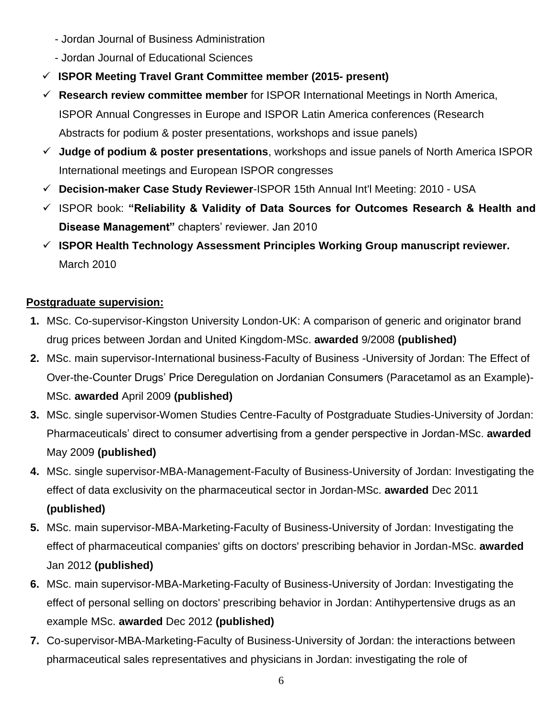- Jordan Journal of Business Administration
- Jordan Journal of Educational Sciences
- **ISPOR Meeting Travel Grant Committee member (2015- present)**
- **Research review committee member** for ISPOR International Meetings in North America, ISPOR Annual Congresses in Europe and ISPOR Latin America conferences (Research Abstracts for podium & poster presentations, workshops and issue panels)
- **Judge of podium & poster presentations**, workshops and issue panels of North America ISPOR International meetings and European ISPOR congresses
- **Decision-maker Case Study Reviewer**-ISPOR 15th Annual Int'l Meeting: 2010 USA
- ISPOR book: **"Reliability & Validity of Data Sources for Outcomes Research & Health and Disease Management"** chapters' reviewer. Jan 2010
- **ISPOR Health Technology Assessment Principles Working Group manuscript reviewer.**  March 2010

# **Postgraduate supervision:**

- **1.** MSc. Co-supervisor-Kingston University London-UK: A comparison of generic and originator brand drug prices between Jordan and United Kingdom-MSc. **awarded** 9/2008 **(published)**
- **2.** MSc. main supervisor-International business-Faculty of Business -University of Jordan: The Effect of Over-the-Counter Drugs' Price Deregulation on Jordanian Consumers (Paracetamol as an Example)- MSc. **awarded** April 2009 **(published)**
- **3.** MSc. single supervisor-Women Studies Centre-Faculty of Postgraduate Studies-University of Jordan: Pharmaceuticals' direct to consumer advertising from a gender perspective in Jordan-MSc. **awarded** May 2009 **(published)**
- **4.** MSc. single supervisor-MBA-Management-Faculty of Business-University of Jordan: Investigating the effect of data exclusivity on the pharmaceutical sector in Jordan-MSc. **awarded** Dec 2011 **(published)**
- **5.** MSc. main supervisor-MBA-Marketing-Faculty of Business-University of Jordan: Investigating the effect of pharmaceutical companies' gifts on doctors' prescribing behavior in Jordan-MSc. **awarded** Jan 2012 **(published)**
- **6.** MSc. main supervisor-MBA-Marketing-Faculty of Business-University of Jordan: Investigating the effect of personal selling on doctors' prescribing behavior in Jordan: Antihypertensive drugs as an example MSc. **awarded** Dec 2012 **(published)**
- **7.** Co-supervisor-MBA-Marketing-Faculty of Business-University of Jordan: the interactions between pharmaceutical sales representatives and physicians in Jordan: investigating the role of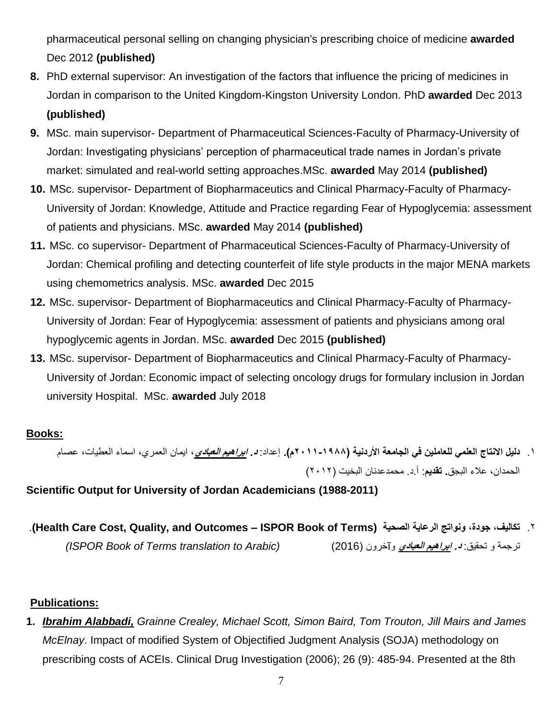pharmaceutical personal selling on changing physician's prescribing choice of medicine **awarded** Dec 2012 **(published)**

- **8.** PhD external supervisor: An investigation of the factors that influence the pricing of medicines in Jordan in comparison to the United Kingdom-Kingston University London. PhD **awarded** Dec 2013 **(published)**
- **9.** MSc. main supervisor- Department of Pharmaceutical Sciences-Faculty of Pharmacy-University of Jordan: Investigating physicians' perception of pharmaceutical trade names in Jordan's private market: simulated and real-world setting approaches.MSc. **awarded** May 2014 **(published)**
- **10.** MSc. supervisor- Department of Biopharmaceutics and Clinical Pharmacy-Faculty of Pharmacy-University of Jordan: Knowledge, Attitude and Practice regarding Fear of Hypoglycemia: assessment of patients and physicians. MSc. **awarded** May 2014 **(published)**
- **11.** MSc. co supervisor- Department of Pharmaceutical Sciences-Faculty of Pharmacy-University of Jordan: Chemical profiling and detecting counterfeit of life style products in the major MENA markets using chemometrics analysis. MSc. **awarded** Dec 2015
- **12.** MSc. supervisor- Department of Biopharmaceutics and Clinical Pharmacy-Faculty of Pharmacy-University of Jordan: Fear of Hypoglycemia: assessment of patients and physicians among oral hypoglycemic agents in Jordan. MSc. **awarded** Dec 2015 **(published)**
- **13.** MSc. supervisor- Department of Biopharmaceutics and Clinical Pharmacy-Faculty of Pharmacy-University of Jordan: Economic impact of selecting oncology drugs for formulary inclusion in Jordan university Hospital. MSc. **awarded** July 2018

## **Books:**

.1 **دليل االنتاج العلمي للعاملين في الجامعة األردنية )2011-1988م(.** إعداد: **د. ابراهيم العبادي**، ايمان العمري، اسماء العطيات، عصام الحمدان، عالء البجق**. تقديم**: أ.د. محمدعدنان البخيت )2012(

**Scientific Output for University of Jordan Academicians (1988-2011)**

 .**(Health Care Cost, Quality, and Outcomes – ISPOR Book of Terms) الصحية الرعاية ونواتج ،جودة ،تكاليف** .2 ترجمة و تحقيق: **د. ابراهيم العبادي** وĩخرون )2016( *(Arabic to translation Terms of Book ISPOR(*

## **Publications:**

**1.** *Ibrahim Alabbadi, Grainne Crealey, Michael Scott, Simon Baird, Tom Trouton, Jill Mairs and James McElnay*. Impact of modified System of Objectified Judgment Analysis (SOJA) methodology on prescribing costs of ACEIs. Clinical Drug Investigation (2006); 26 (9): 485-94. Presented at the 8th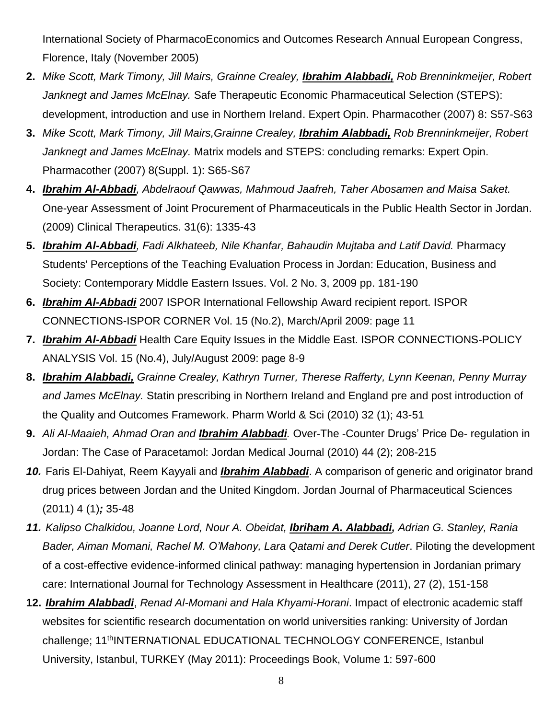International Society of PharmacoEconomics and Outcomes Research Annual European Congress, Florence, Italy (November 2005)

- **2.** *Mike Scott, Mark Timony, Jill Mairs, Grainne Crealey, Ibrahim Alabbadi, Rob Brenninkmeijer, Robert Janknegt and James McElnay.* Safe Therapeutic Economic Pharmaceutical Selection (STEPS): development, introduction and use in Northern Ireland. Expert Opin. Pharmacother (2007) 8: S57-S63
- **3.** *Mike Scott, Mark Timony, Jill Mairs,Grainne Crealey, Ibrahim Alabbadi, Rob Brenninkmeijer, Robert Janknegt and James McElnay.* Matrix models and STEPS: concluding remarks: Expert Opin. Pharmacother (2007) 8(Suppl. 1): S65-S67
- **4.** *Ibrahim Al-Abbadi, Abdelraouf Qawwas, Mahmoud Jaafreh, Taher Abosamen and Maisa Saket.* One-year Assessment of Joint Procurement of Pharmaceuticals in the Public Health Sector in Jordan. (2009) Clinical Therapeutics. 31(6): 1335-43
- **5.** *Ibrahim Al-Abbadi, Fadi Alkhateeb, Nile Khanfar, Bahaudin Mujtaba and Latif David.* Pharmacy Students' Perceptions of the Teaching Evaluation Process in Jordan: Education, Business and Society: Contemporary Middle Eastern Issues. Vol. 2 No. 3, 2009 pp. 181-190
- **6.** *Ibrahim Al-Abbadi* 2007 ISPOR International Fellowship Award recipient report. ISPOR CONNECTIONS-ISPOR CORNER Vol. 15 (No.2), March/April 2009: page 11
- **7.** *Ibrahim Al-Abbadi* Health Care Equity Issues in the Middle East. ISPOR CONNECTIONS-POLICY ANALYSIS Vol. 15 (No.4), July/August 2009: page 8-9
- **8.** *Ibrahim Alabbadi, Grainne Crealey, Kathryn Turner, Therese Rafferty, Lynn Keenan, Penny Murray and James McElnay.* Statin prescribing in Northern Ireland and England pre and post introduction of the Quality and Outcomes Framework. Pharm World & Sci (2010) 32 (1); 43-51
- **9.** *Ali Al-Maaieh, Ahmad Oran and Ibrahim Alabbadi.* Over-The -Counter Drugs' Price De- regulation in Jordan: The Case of Paracetamol: Jordan Medical Journal (2010) 44 (2); 208-215
- *10.* Faris El-Dahiyat, Reem Kayyali and *Ibrahim Alabbadi*. A comparison of generic and originator brand drug prices between Jordan and the United Kingdom. Jordan Journal of Pharmaceutical Sciences (2011) 4 (1)*;* 35-48
- *11. Kalipso Chalkidou, Joanne Lord, Nour A. Obeidat, Ibriham A. Alabbadi, Adrian G. Stanley, Rania Bader, Aiman Momani, Rachel M. O'Mahony, Lara Qatami and Derek Cutler*. Piloting the development of a cost-effective evidence-informed clinical pathway: managing hypertension in Jordanian primary care: International Journal for Technology Assessment in Healthcare (2011), 27 (2), 151-158
- **12.** *Ibrahim Alabbadi*, *Renad Al-Momani and Hala Khyami-Horani*. Impact of electronic academic staff websites for scientific research documentation on world universities ranking: University of Jordan challenge; 11<sup>th</sup>INTERNATIONAL EDUCATIONAL TECHNOLOGY CONFERENCE, Istanbul University, Istanbul, TURKEY (May 2011): Proceedings Book, Volume 1: 597-600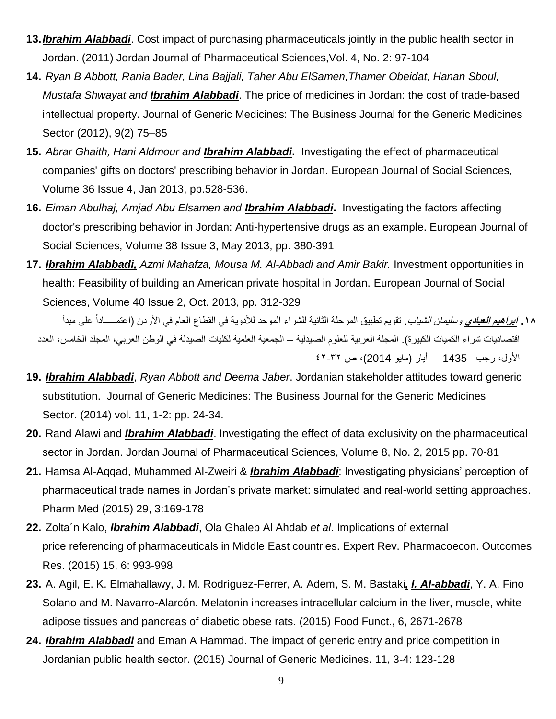- **13.***Ibrahim Alabbadi*. Cost impact of purchasing pharmaceuticals jointly in the public health sector in Jordan. (2011) Jordan Journal of Pharmaceutical Sciences,Vol. 4, No. 2: 97-104
- **14.** *Ryan B Abbott, Rania Bader, Lina Bajjali, Taher Abu ElSamen,Thamer Obeidat, Hanan Sboul, Mustafa Shwayat and Ibrahim Alabbadi*. The price of medicines in Jordan: the cost of trade-based intellectual property. Journal of Generic Medicines: The Business Journal for the Generic Medicines Sector (2012), 9(2) 75–85
- **15.** *Abrar Ghaith, Hani Aldmour and Ibrahim Alabbadi***.** Investigating the effect of pharmaceutical companies' gifts on doctors' prescribing behavior in Jordan. European Journal of Social Sciences, Volume 36 Issue 4, Jan 2013, pp.528-536.
- **16.** *Eiman Abulhaj, Amjad Abu Elsamen and Ibrahim Alabbadi***.** Investigating the factors affecting doctor's prescribing behavior in Jordan: Anti-hypertensive drugs as an example. European Journal of Social Sciences, Volume 38 Issue 3, May 2013, pp. 380-391
- **17.** *Ibrahim Alabbadi, Azmi Mahafza, Mousa M. Al-Abbadi and Amir Bakir.* Investment opportunities in health: Feasibility of building an American private hospital in Jordan. European Journal of Social Sciences, Volume 40 Issue 2, Oct. 2013, pp. 312-329

**.18 ابراهيم العبادي** وسليمان الشياب. تقويم تطبيق المرحلة الثانية للشراء الموحد لألدوية في القطاع العام في األردن )اعتمـــــاداً على مبدأ اقتصاديات شراء الكميات الكبيرة). المجلة العربية للعلوم الصيدلية – الجمعية العلمية لكليات الصيدلة في الوطن العربي، المجلد الخامس، العدد األول، رجب– 1435 أيار )مايو 2014)، ص 42-32

- **19.** *Ibrahim Alabbadi*, *Ryan Abbott and Deema Jaber*. Jordanian stakeholder attitudes toward generic substitution. Journal of Generic Medicines: The Business Journal for the Generic Medicines Sector. (2014) vol. 11, 1-2: pp. 24-34.
- **20.** Rand Alawi and *Ibrahim Alabbadi*. Investigating the effect of data exclusivity on the pharmaceutical sector in Jordan. Jordan Journal of Pharmaceutical Sciences, Volume 8, No. 2, 2015 pp. 70-81
- **21.** Hamsa Al-Aqqad, Muhammed Al-Zweiri & *Ibrahim Alabbadi*: Investigating physicians' perception of pharmaceutical trade names in Jordan's private market: simulated and real-world setting approaches. Pharm Med (2015) 29, 3:169-178
- **22.** Zolta´n Kalo, *Ibrahim Alabbadi*, Ola Ghaleb Al Ahdab *et al*. Implications of external price referencing of pharmaceuticals in Middle East countries. Expert Rev. Pharmacoecon. Outcomes Res. (2015) 15, 6: 993-998
- **23.** A. Agil, E. K. Elmahallawy, J. M. Rodríguez-Ferrer, A. Adem, S. M. Bastaki*, I. Al-abbadi*, Y. A. Fino Solano and M. Navarro-Alarcón. Melatonin increases intracellular calcium in the liver, muscle, white adipose tissues and pancreas of diabetic obese rats. (2015) [Food Funct.](http://pubs.rsc.org/en/journals/journal/fo)**,** 6**,** 2671-2678
- **24.** *Ibrahim Alabbadi* and Eman A Hammad. The impact of generic entry and price competition in Jordanian public health sector. (2015) Journal of Generic Medicines. 11, 3-4: 123-128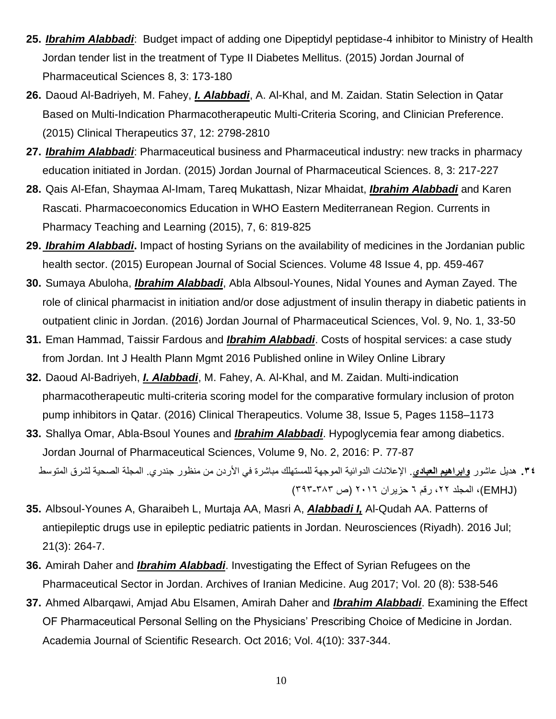- **25.** *Ibrahim Alabbadi*: Budget impact of adding one Dipeptidyl peptidase-4 inhibitor to Ministry of Health Jordan tender list in the treatment of Type II Diabetes Mellitus. (2015) Jordan Journal of Pharmaceutical Sciences 8, 3: 173-180
- **26.** Daoud Al-Badriyeh, M. Fahey, *I. Alabbadi*, A. Al-Khal, and M. Zaidan. Statin Selection in Qatar Based on Multi-Indication Pharmacotherapeutic Multi-Criteria Scoring, and Clinician Preference. (2015) Clinical Therapeutics 37, 12: 2798-2810
- **27.** *Ibrahim Alabbadi*: Pharmaceutical business and Pharmaceutical industry: new tracks in pharmacy education initiated in Jordan. (2015) Jordan Journal of Pharmaceutical Sciences. 8, 3: 217-227
- **28.** Qais Al-Efan, Shaymaa Al-Imam, Tareq Mukattash, Nizar Mhaidat, *Ibrahim Alabbadi* and Karen Rascati. Pharmacoeconomics Education in WHO Eastern Mediterranean Region. Currents in Pharmacy Teaching and Learning (2015), 7, 6: 819-825
- **29.** *Ibrahim Alabbadi***.** Impact of hosting Syrians on the availability of medicines in the Jordanian public health sector. (2015) European Journal of Social Sciences. Volume 48 Issue 4, pp. 459-467
- **30.** Sumaya Abuloha, *Ibrahim Alabbadi*, Abla Albsoul-Younes, Nidal Younes and Ayman Zayed. The role of clinical pharmacist in initiation and/or dose adjustment of insulin therapy in diabetic patients in outpatient clinic in Jordan. (2016) Jordan Journal of Pharmaceutical Sciences, Vol. 9, No. 1, 33-50
- **31.** Eman Hammad, Taissir Fardous and *Ibrahim Alabbadi*. Costs of hospital services: a case study from Jordan. Int J Health Plann Mgmt 2016 Published online in Wiley Online Library
- **32.** Daoud Al-Badriyeh, *I. Alabbadi*, M. Fahey, A. Al-Khal, and M. Zaidan. Multi-indication pharmacotherapeutic multi-criteria scoring model for the comparative formulary inclusion of proton pump inhibitors in Qatar. (2016) Clinical Therapeutics. Volume 38, Issue 5, Pages 1158–1173
- **33.** Shallya Omar, Abla-Bsoul Younes and *Ibrahim Alabbadi*. Hypoglycemia fear among diabetics. Jordan Journal of Pharmaceutical Sciences, Volume 9, No. 2, 2016: P. 77-87 **.34** هديل عاشور **وابراهيم العبادي**. اإلعالنات الدوائية الموجهة للمستهلك مباشرة في األردن من منظور جندري. المجلة الصحية لشرق المتوسط )EMHJ)، المجلد ،22 رقم 6 حزيران 2016 )ص 393-383(
- **35.** [Albsoul-Younes A,](https://www.ncbi.nlm.nih.gov/pubmed/?term=Albsoul-Younes%20A%5BAuthor%5D&cauthor=true&cauthor_uid=27356661) [Gharaibeh L,](https://www.ncbi.nlm.nih.gov/pubmed/?term=Gharaibeh%20L%5BAuthor%5D&cauthor=true&cauthor_uid=27356661) [Murtaja AA,](https://www.ncbi.nlm.nih.gov/pubmed/?term=Murtaja%20AA%5BAuthor%5D&cauthor=true&cauthor_uid=27356661) [Masri A,](https://www.ncbi.nlm.nih.gov/pubmed/?term=Masri%20A%5BAuthor%5D&cauthor=true&cauthor_uid=27356661) *[Alabbadi](https://www.ncbi.nlm.nih.gov/pubmed/?term=Alabbadi%20I%5BAuthor%5D&cauthor=true&cauthor_uid=27356661) I,* [Al-Qudah AA.](https://www.ncbi.nlm.nih.gov/pubmed/?term=Al-Qudah%20AA%5BAuthor%5D&cauthor=true&cauthor_uid=27356661) Patterns of antiepileptic drugs use in epileptic pediatric patients in Jordan. [Neurosciences \(Riyadh\).](https://www.ncbi.nlm.nih.gov/pubmed/27356661) 2016 Jul; 21(3): 264-7.
- **36.** Amirah Daher and *Ibrahim Alabbadi*. Investigating the Effect of Syrian Refugees on the Pharmaceutical Sector in Jordan. Archives of Iranian Medicine. Aug 2017; Vol. 20 (8): 538-546
- **37.** Ahmed Albarqawi, Amjad Abu Elsamen, Amirah Daher and *Ibrahim Alabbadi*. Examining the Effect OF Pharmaceutical Personal Selling on the Physicians' Prescribing Choice of Medicine in Jordan. Academia Journal of Scientific Research. Oct 2016; Vol. 4(10): 337-344.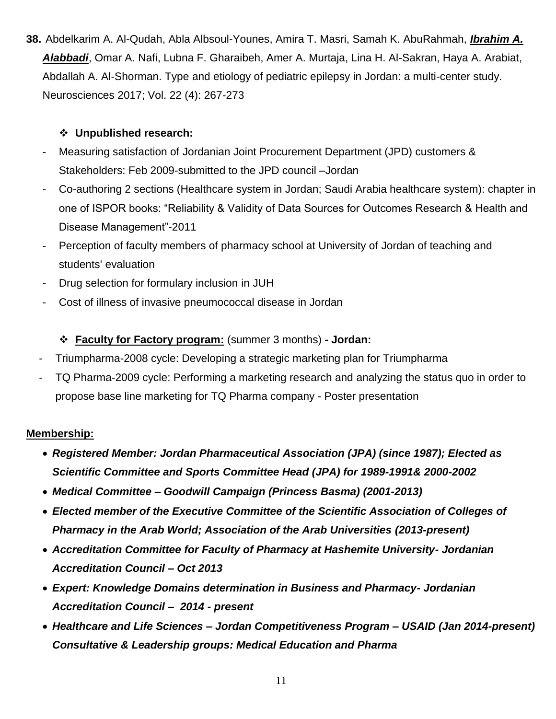**38.** Abdelkarim A. Al-Qudah, Abla Albsoul-Younes, Amira T. Masri, Samah K. AbuRahmah, *Ibrahim A. Alabbadi*, Omar A. Nafi, Lubna F. Gharaibeh, Amer A. Murtaja, Lina H. Al-Sakran, Haya A. Arabiat, Abdallah A. Al-Shorman. Type and etiology of pediatric epilepsy in Jordan: a multi-center study. Neurosciences 2017; Vol. 22 (4): 267-273

#### **Unpublished research:**

- Measuring satisfaction of Jordanian Joint Procurement Department (JPD) customers & Stakeholders: Feb 2009-submitted to the JPD council –Jordan
- Co-authoring 2 sections (Healthcare system in Jordan; Saudi Arabia healthcare system): chapter in one of ISPOR books: "Reliability & Validity of Data Sources for Outcomes Research & Health and Disease Management"-2011
- Perception of faculty members of pharmacy school at University of Jordan of teaching and students' evaluation
- Drug selection for formulary inclusion in JUH
- Cost of illness of invasive pneumococcal disease in Jordan

#### **Faculty for Factory program:** (summer 3 months) **- Jordan:**

- Triumpharma-2008 cycle: Developing a strategic marketing plan for Triumpharma
- TQ Pharma-2009 cycle: Performing a marketing research and analyzing the status quo in order to propose base line marketing for TQ Pharma company - Poster presentation

#### **Membership:**

- *Registered Member: Jordan Pharmaceutical Association (JPA) (since 1987); Elected as Scientific Committee and Sports Committee Head (JPA) for 1989-1991& 2000-2002*
- *Medical Committee – Goodwill Campaign (Princess Basma) (2001-2013)*
- *Elected member of the Executive Committee of the Scientific Association of Colleges of Pharmacy in the Arab World; Association of the Arab Universities (2013-present)*
- *Accreditation Committee for Faculty of Pharmacy at Hashemite University- Jordanian Accreditation Council – Oct 2013*
- *Expert: Knowledge Domains determination in Business and Pharmacy- Jordanian Accreditation Council – 2014 - present*
- *Healthcare and Life Sciences – Jordan Competitiveness Program – USAID (Jan 2014-present) Consultative & Leadership groups: Medical Education and Pharma*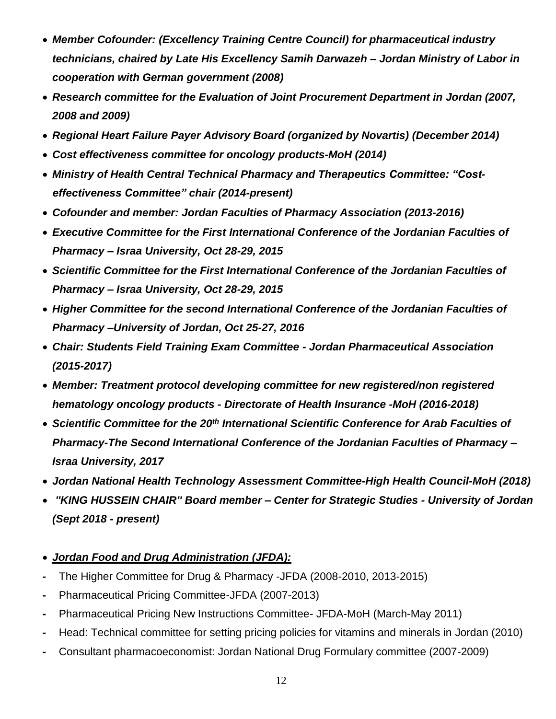- *Member Cofounder: (Excellency Training Centre Council) for pharmaceutical industry technicians, chaired by Late His Excellency Samih Darwazeh – Jordan Ministry of Labor in cooperation with German government (2008)*
- *Research committee for the Evaluation of Joint Procurement Department in Jordan (2007, 2008 and 2009)*
- *Regional Heart Failure Payer Advisory Board (organized by Novartis) (December 2014)*
- *Cost effectiveness committee for oncology products-MoH (2014)*
- *Ministry of Health Central Technical Pharmacy and Therapeutics Committee: "Costeffectiveness Committee" chair (2014-present)*
- *Cofounder and member: Jordan Faculties of Pharmacy Association (2013-2016)*
- *Executive Committee for the First International Conference of the Jordanian Faculties of Pharmacy – Israa University, Oct 28-29, 2015*
- *Scientific Committee for the First International Conference of the Jordanian Faculties of Pharmacy – Israa University, Oct 28-29, 2015*
- *Higher Committee for the second International Conference of the Jordanian Faculties of Pharmacy –University of Jordan, Oct 25-27, 2016*
- *Chair: Students Field Training Exam Committee - Jordan Pharmaceutical Association (2015-2017)*
- *Member: Treatment protocol developing committee for new registered/non registered hematology oncology products - Directorate of Health Insurance -MoH (2016-2018)*
- *Scientific Committee for the 20th International Scientific Conference for Arab Faculties of Pharmacy-The Second International Conference of the Jordanian Faculties of Pharmacy – Israa University, 2017*
- *Jordan National Health Technology Assessment Committee-High Health Council-MoH (2018)*
- *''KING HUSSEIN CHAIR'' Board member – Center for Strategic Studies - University of Jordan (Sept 2018 - present)*
- *Jordan Food and Drug Administration (JFDA):*
- **-** The Higher Committee for Drug & Pharmacy -JFDA (2008-2010, 2013-2015)
- **-** Pharmaceutical Pricing Committee-JFDA (2007-2013)
- **-** Pharmaceutical Pricing New Instructions Committee- JFDA-MoH (March-May 2011)
- **-** Head: Technical committee for setting pricing policies for vitamins and minerals in Jordan (2010)
- **-** Consultant pharmacoeconomist: Jordan National Drug Formulary committee (2007-2009)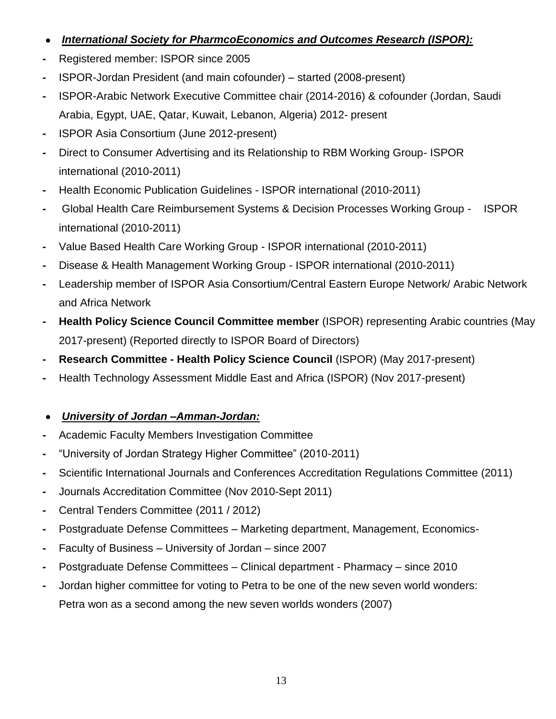# *International Society for PharmcoEconomics and Outcomes Research (ISPOR):*

- **-** Registered member: ISPOR since 2005
- **-** ISPOR-Jordan President (and main cofounder) started (2008-present)
- **-** ISPOR-Arabic Network Executive Committee chair (2014-2016) & cofounder (Jordan, Saudi Arabia, Egypt, UAE, Qatar, Kuwait, Lebanon, Algeria) 2012- present
- **-** ISPOR Asia Consortium (June 2012-present)
- **-** Direct to Consumer Advertising and its Relationship to RBM Working Group- ISPOR international (2010-2011)
- **-** Health Economic Publication Guidelines ISPOR international (2010-2011)
- **-** Global Health Care Reimbursement Systems & Decision Processes Working Group ISPOR international (2010-2011)
- **-** Value Based Health Care Working Group ISPOR international (2010-2011)
- **-** Disease & Health Management Working Group ISPOR international (2010-2011)
- **-** Leadership member of ISPOR Asia Consortium/Central Eastern Europe Network/ Arabic Network and Africa Network
- **- Health Policy Science Council Committee member** (ISPOR) representing Arabic countries (May 2017-present) (Reported directly to ISPOR Board of Directors)
- **- Research Committee - Health Policy Science Council** (ISPOR) (May 2017-present)
- **-** Health Technology Assessment Middle East and Africa (ISPOR) (Nov 2017-present)

## *University of Jordan –Amman-Jordan:*

- **-** Academic Faculty Members Investigation Committee
- **-** "University of Jordan Strategy Higher Committee" (2010-2011)
- **-** Scientific International Journals and Conferences Accreditation Regulations Committee (2011)
- **-** Journals Accreditation Committee (Nov 2010-Sept 2011)
- **-** Central Tenders Committee (2011 / 2012)
- **-** Postgraduate Defense Committees Marketing department, Management, Economics-
- **-** Faculty of Business University of Jordan since 2007
- **-** Postgraduate Defense Committees Clinical department Pharmacy since 2010
- **-** Jordan higher committee for voting to Petra to be one of the new seven world wonders: Petra won as a second among the new seven worlds wonders (2007)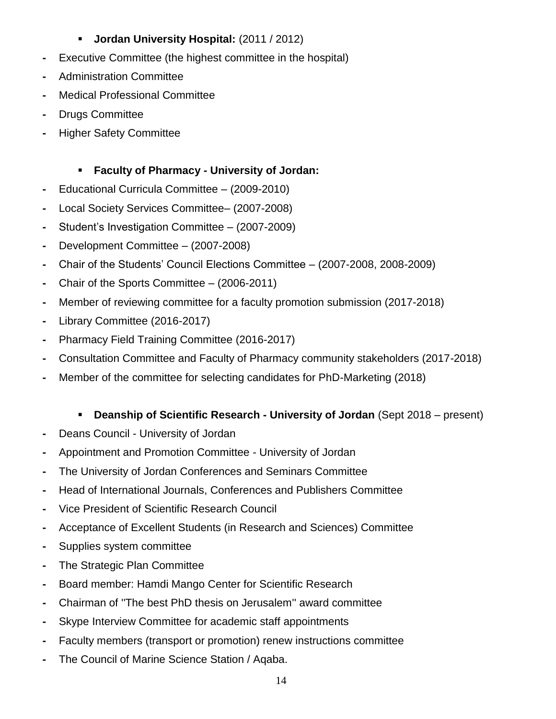## **Jordan University Hospital:** (2011 / 2012)

- **-** Executive Committee (the highest committee in the hospital)
- **-** Administration Committee
- **-** Medical Professional Committee
- **-** Drugs Committee
- **-** Higher Safety Committee

## **Faculty of Pharmacy - University of Jordan:**

- **-** Educational Curricula Committee (2009-2010)
- **-** Local Society Services Committee– (2007-2008)
- **-** Student's Investigation Committee (2007-2009)
- **-** Development Committee (2007-2008)
- **-** Chair of the Students' Council Elections Committee (2007-2008, 2008-2009)
- **-** Chair of the Sports Committee (2006-2011)
- **-** Member of reviewing committee for a faculty promotion submission (2017-2018)
- **-** Library Committee (2016-2017)
- **-** Pharmacy Field Training Committee (2016-2017)
- **-** Consultation Committee and Faculty of Pharmacy community stakeholders (2017-2018)
- **-** Member of the committee for selecting candidates for PhD-Marketing (2018)

## **Deanship of Scientific Research - University of Jordan** (Sept 2018 – present)

- **-** Deans Council University of Jordan
- **-** Appointment and Promotion Committee University of Jordan
- **-** The University of Jordan Conferences and Seminars Committee
- **-** Head of International Journals, Conferences and Publishers Committee
- **-** Vice President of Scientific Research Council
- **-** Acceptance of Excellent Students (in Research and Sciences) Committee
- **-** Supplies system committee
- **-** The Strategic Plan Committee
- **-** Board member: Hamdi Mango Center for Scientific Research
- **-** Chairman of ''The best PhD thesis on Jerusalem'' award committee
- **-** Skype Interview Committee for academic staff appointments
- **-** Faculty members (transport or promotion) renew instructions committee
- **-** The Council of Marine Science Station / Aqaba.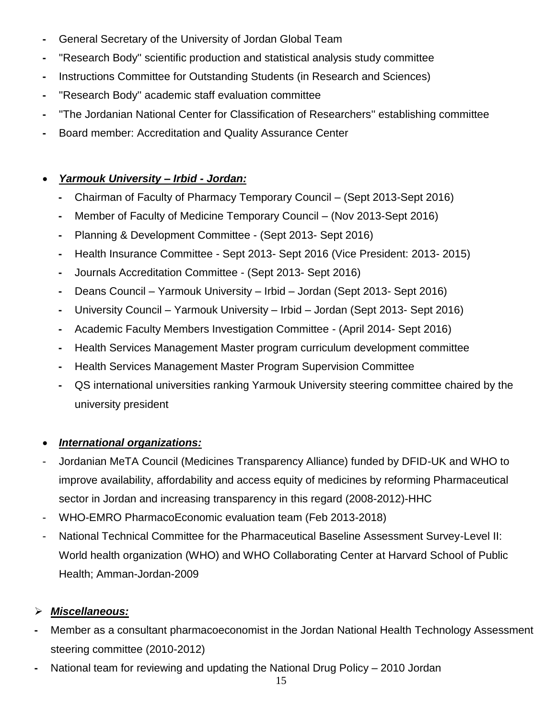- **-** General Secretary of the University of Jordan Global Team
- **-** ''Research Body'' scientific production and statistical analysis study committee
- **-** Instructions Committee for Outstanding Students (in Research and Sciences)
- **-** ''Research Body'' academic staff evaluation committee
- **-** ''The Jordanian National Center for Classification of Researchers'' establishing committee
- **-** Board member: Accreditation and Quality Assurance Center

#### *Yarmouk University – Irbid - Jordan:*

- **-** Chairman of Faculty of Pharmacy Temporary Council (Sept 2013-Sept 2016)
- **-** Member of Faculty of Medicine Temporary Council (Nov 2013-Sept 2016)
- **-** Planning & Development Committee (Sept 2013- Sept 2016)
- **-** Health Insurance Committee Sept 2013- Sept 2016 (Vice President: 2013- 2015)
- **-** Journals Accreditation Committee (Sept 2013- Sept 2016)
- **-** Deans Council Yarmouk University Irbid Jordan (Sept 2013- Sept 2016)
- **-** University Council Yarmouk University Irbid Jordan (Sept 2013- Sept 2016)
- **-** Academic Faculty Members Investigation Committee (April 2014- Sept 2016)
- **-** Health Services Management Master program curriculum development committee
- **-** Health Services Management Master Program Supervision Committee
- **-** QS international universities ranking Yarmouk University steering committee chaired by the university president

## *International organizations:*

- Jordanian MeTA Council (Medicines Transparency Alliance) funded by DFID-UK and WHO to improve availability, affordability and access equity of medicines by reforming Pharmaceutical sector in Jordan and increasing transparency in this regard (2008-2012)-HHC
- WHO-EMRO PharmacoEconomic evaluation team (Feb 2013-2018)
- National Technical Committee for the Pharmaceutical Baseline Assessment Survey-Level II: World health organization (WHO) and WHO Collaborating Center at Harvard School of Public Health; Amman-Jordan-2009

## *Miscellaneous:*

- **-** Member as a consultant pharmacoeconomist in the Jordan National Health Technology Assessment steering committee (2010-2012)
- **-** National team for reviewing and updating the National Drug Policy 2010 Jordan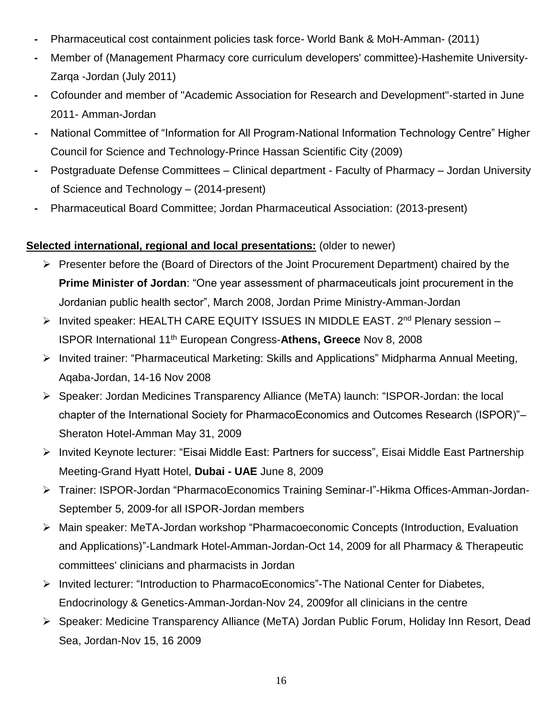- **-** Pharmaceutical cost containment policies task force- World Bank & MoH-Amman- (2011)
- **-** Member of (Management Pharmacy core curriculum developers' committee)-Hashemite University-Zarqa -Jordan (July 2011)
- **-** Cofounder and member of "Academic Association for Research and Development"-started in June 2011- Amman-Jordan
- **-** National Committee of "Information for All Program-National Information Technology Centre" Higher Council for Science and Technology-Prince Hassan Scientific City (2009)
- **-** Postgraduate Defense Committees Clinical department Faculty of Pharmacy Jordan University of Science and Technology – (2014-present)
- **-** Pharmaceutical Board Committee; Jordan Pharmaceutical Association: (2013-present)

#### **Selected international, regional and local presentations:** (older to newer)

- $\triangleright$  Presenter before the (Board of Directors of the Joint Procurement Department) chaired by the **Prime Minister of Jordan**: "One year assessment of pharmaceuticals joint procurement in the Jordanian public health sector", March 2008, Jordan Prime Ministry-Amman-Jordan
- ▶ Invited speaker: HEALTH CARE EQUITY ISSUES IN MIDDLE EAST. 2<sup>nd</sup> Plenary session ISPOR International 11th European Congress-**Athens, Greece** Nov 8, 2008
- Invited trainer: "Pharmaceutical Marketing: Skills and Applications" Midpharma Annual Meeting, Aqaba-Jordan, 14-16 Nov 2008
- Speaker: Jordan Medicines Transparency Alliance (MeTA) launch: "ISPOR-Jordan: the local chapter of the International Society for PharmacoEconomics and Outcomes Research (ISPOR)"– Sheraton Hotel-Amman May 31, 2009
- ▶ Invited Keynote lecturer: "Eisai Middle East: Partners for success", Eisai Middle East Partnership Meeting-Grand Hyatt Hotel, **Dubai - UAE** June 8, 2009
- Trainer: ISPOR-Jordan "PharmacoEconomics Training Seminar-I"-Hikma Offices-Amman-Jordan-September 5, 2009-for all ISPOR-Jordan members
- Main speaker: MeTA-Jordan workshop "Pharmacoeconomic Concepts (Introduction, Evaluation and Applications)"-Landmark Hotel-Amman-Jordan-Oct 14, 2009 for all Pharmacy & Therapeutic committees' clinicians and pharmacists in Jordan
- Invited lecturer: "Introduction to PharmacoEconomics"-The National Center for Diabetes, Endocrinology & Genetics-Amman-Jordan-Nov 24, 2009for all clinicians in the centre
- Speaker: Medicine Transparency Alliance (MeTA) Jordan Public Forum, Holiday Inn Resort, Dead Sea, Jordan-Nov 15, 16 2009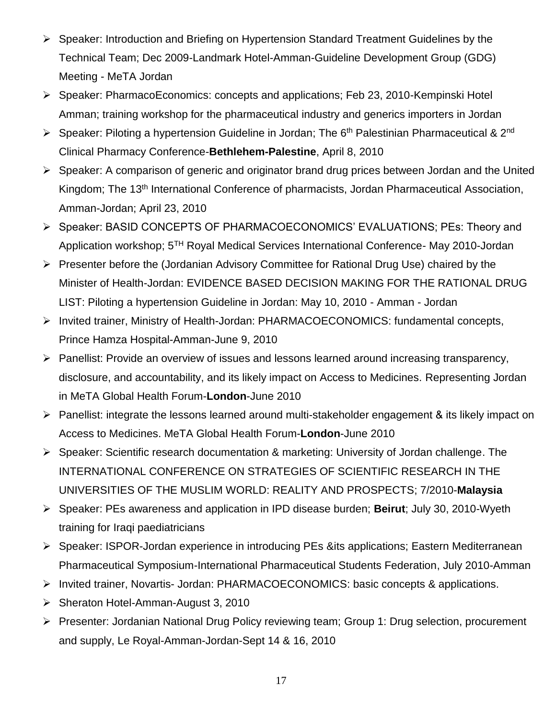- Speaker: Introduction and Briefing on Hypertension Standard Treatment Guidelines by the Technical Team; Dec 2009-Landmark Hotel-Amman-Guideline Development Group (GDG) Meeting - MeTA Jordan
- Speaker: PharmacoEconomics: concepts and applications; Feb 23, 2010-Kempinski Hotel Amman; training workshop for the pharmaceutical industry and generics importers in Jordan
- $\triangleright$  Speaker: Piloting a hypertension Guideline in Jordan; The 6<sup>th</sup> Palestinian Pharmaceutical & 2<sup>nd</sup> Clinical Pharmacy Conference-**Bethlehem-Palestine**, April 8, 2010
- $\triangleright$  Speaker: A comparison of generic and originator brand drug prices between Jordan and the United Kingdom; The 13th International Conference of pharmacists, Jordan Pharmaceutical Association, Amman-Jordan; April 23, 2010
- Speaker: BASID CONCEPTS OF PHARMACOECONOMICS' EVALUATIONS; PEs: Theory and Application workshop; 5TH Royal Medical Services International Conference- May 2010-Jordan
- Presenter before the (Jordanian Advisory Committee for Rational Drug Use) chaired by the Minister of Health-Jordan: EVIDENCE BASED DECISION MAKING FOR THE RATIONAL DRUG LIST: Piloting a hypertension Guideline in Jordan: May 10, 2010 - Amman - Jordan
- Invited trainer, Ministry of Health-Jordan: PHARMACOECONOMICS: fundamental concepts, Prince Hamza Hospital-Amman-June 9, 2010
- Panellist: Provide an overview of issues and lessons learned around increasing transparency, disclosure, and accountability, and its likely impact on Access to Medicines. Representing Jordan in MeTA Global Health Forum-**London**-June 2010
- $\triangleright$  Panellist: integrate the lessons learned around multi-stakeholder engagement & its likely impact on Access to Medicines. MeTA Global Health Forum-**London**-June 2010
- Speaker: Scientific research documentation & marketing: University of Jordan challenge. The [INTERNATIONAL CONFERENCE ON STRATEGIES OF SCIENTIFIC RESEARCH IN THE](http://www.iiu.edu.my/iimu/info.php?infoid=90)  [UNIVERSITIES OF THE MUSLIM WORLD: REALITY AND PROSPECTS;](http://www.iiu.edu.my/iimu/info.php?infoid=90) 7/2010-**Malaysia**
- Speaker: PEs awareness and application in IPD disease burden; **Beirut**; July 30, 2010-Wyeth training for Iraqi paediatricians
- Speaker: ISPOR-Jordan experience in introducing PEs &its applications; Eastern Mediterranean Pharmaceutical Symposium-International Pharmaceutical Students Federation, July 2010-Amman
- Invited trainer, Novartis- Jordan: PHARMACOECONOMICS: basic concepts & applications.
- $\triangleright$  Sheraton Hotel-Amman-August 3, 2010
- Presenter: Jordanian National Drug Policy reviewing team; Group 1: Drug selection, procurement and supply, Le Royal-Amman-Jordan-Sept 14 & 16, 2010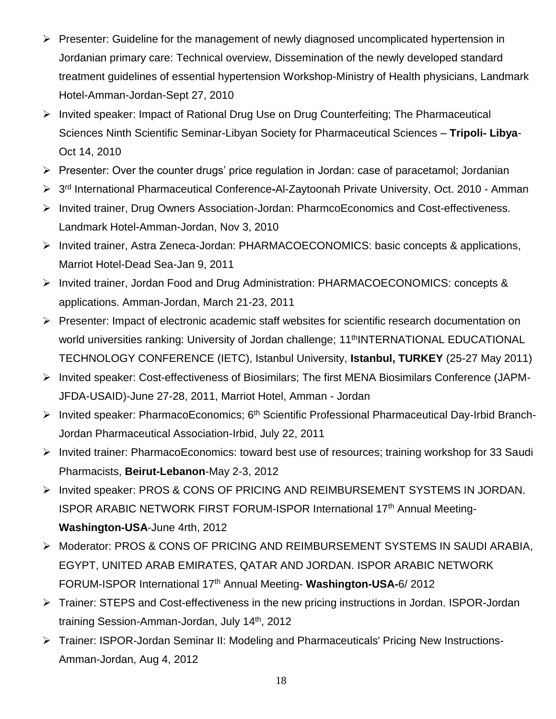- $\triangleright$  Presenter: Guideline for the management of newly diagnosed uncomplicated hypertension in Jordanian primary care: Technical overview, Dissemination of the newly developed standard treatment guidelines of essential hypertension Workshop-Ministry of Health physicians, Landmark Hotel-Amman-Jordan-Sept 27, 2010
- $\triangleright$  Invited speaker: Impact of Rational Drug Use on Drug Counterfeiting; The Pharmaceutical Sciences Ninth Scientific Seminar-Libyan Society for Pharmaceutical Sciences – **Tripoli- Libya**-Oct 14, 2010
- $\triangleright$  Presenter: Over the counter drugs' price regulation in Jordan: case of paracetamol; Jordanian
- 3 rd International Pharmaceutical Conference**-**Al-Zaytoonah Private University, Oct. 2010 Amman
- Invited trainer, Drug Owners Association-Jordan: PharmcoEconomics and Cost-effectiveness. Landmark Hotel-Amman-Jordan, Nov 3, 2010
- Invited trainer, Astra Zeneca-Jordan: PHARMACOECONOMICS: basic concepts & applications, Marriot Hotel-Dead Sea-Jan 9, 2011
- Invited trainer, Jordan Food and Drug Administration: PHARMACOECONOMICS: concepts & applications. Amman-Jordan, March 21-23, 2011
- Presenter: Impact of electronic academic staff websites for scientific research documentation on world universities ranking: University of Jordan challenge; 11<sup>th</sup>INTERNATIONAL EDUCATIONAL TECHNOLOGY CONFERENCE (IETC), Istanbul University, **Istanbul, TURKEY** (25-27 May 2011)
- Invited speaker: Cost-effectiveness of Biosimilars; The first MENA Biosimilars Conference (JAPM-JFDA-USAID)-June 27-28, 2011, Marriot Hotel, Amman - Jordan
- Invited speaker: PharmacoEconomics;  $6<sup>th</sup>$  Scientific Professional Pharmaceutical Day-Irbid Branch-Jordan Pharmaceutical Association-Irbid, July 22, 2011
- Invited trainer: PharmacoEconomics: toward best use of resources; training workshop for 33 Saudi Pharmacists, **Beirut-Lebanon**-May 2-3, 2012
- > Invited speaker: PROS & CONS OF PRICING AND REIMBURSEMENT SYSTEMS IN JORDAN. ISPOR ARABIC NETWORK FIRST FORUM-ISPOR International 17<sup>th</sup> Annual Meeting-**Washington-USA**-June 4rth, 2012
- Moderator: PROS & CONS OF PRICING AND REIMBURSEMENT SYSTEMS IN SAUDI ARABIA, EGYPT, UNITED ARAB EMIRATES, QATAR AND JORDAN. ISPOR ARABIC NETWORK FORUM-ISPOR International 17th Annual Meeting- **Washington-USA-**6/ 2012
- Trainer: STEPS and Cost-effectiveness in the new pricing instructions in Jordan. ISPOR-Jordan training Session-Amman-Jordan, July 14th, 2012
- Trainer: ISPOR-Jordan Seminar II: Modeling and Pharmaceuticals' Pricing New Instructions-Amman-Jordan, Aug 4, 2012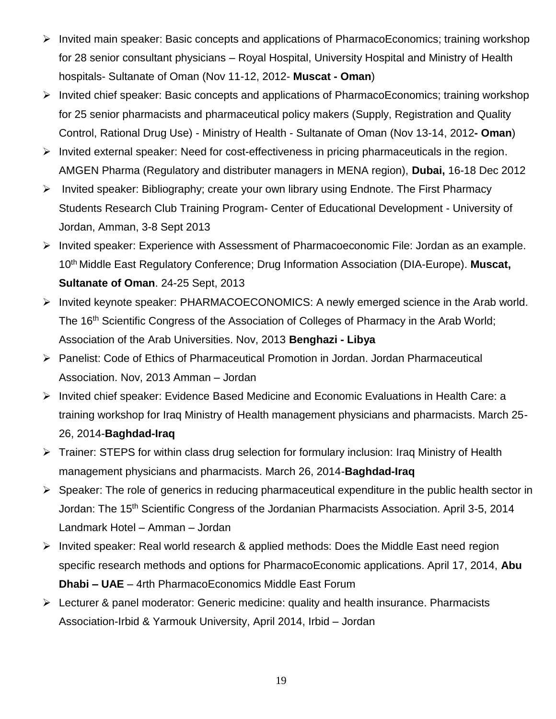- $\triangleright$  Invited main speaker: Basic concepts and applications of PharmacoEconomics; training workshop for 28 senior consultant physicians – Royal Hospital, University Hospital and Ministry of Health hospitals- Sultanate of Oman (Nov 11-12, 2012- **Muscat - Oman**)
- $\triangleright$  Invited chief speaker: Basic concepts and applications of PharmacoEconomics; training workshop for 25 senior pharmacists and pharmaceutical policy makers (Supply, Registration and Quality Control, Rational Drug Use) - Ministry of Health - Sultanate of Oman (Nov 13-14, 2012**- Oman**)
- $\triangleright$  Invited external speaker: Need for cost-effectiveness in pricing pharmaceuticals in the region. AMGEN Pharma (Regulatory and distributer managers in MENA region), **Dubai,** 16-18 Dec 2012
- $\triangleright$  Invited speaker: Bibliography; create your own library using Endnote. The First Pharmacy Students Research Club Training Program- Center of Educational Development - University of Jordan, Amman, 3-8 Sept 2013
- Invited speaker: Experience with Assessment of Pharmacoeconomic File: Jordan as an example. 10th Middle East Regulatory Conference; Drug Information Association (DIA-Europe). **Muscat, Sultanate of Oman**. 24-25 Sept, 2013
- ▶ Invited keynote speaker: PHARMACOECONOMICS: A newly emerged science in the Arab world. The 16<sup>th</sup> Scientific Congress of the Association of Colleges of Pharmacy in the Arab World; Association of the Arab Universities. Nov, 2013 **Benghazi - Libya**
- Panelist: Code of Ethics of Pharmaceutical Promotion in Jordan. Jordan Pharmaceutical Association. Nov, 2013 Amman – Jordan
- Invited chief speaker: Evidence Based Medicine and Economic Evaluations in Health Care: a training workshop for Iraq Ministry of Health management physicians and pharmacists. March 25- 26, 2014-**Baghdad-Iraq**
- Trainer: STEPS for within class drug selection for formulary inclusion: Iraq Ministry of Health management physicians and pharmacists. March 26, 2014-**Baghdad-Iraq**
- $\triangleright$  Speaker: The role of generics in reducing pharmaceutical expenditure in the public health sector in Jordan: The 15<sup>th</sup> Scientific Congress of the Jordanian Pharmacists Association. April 3-5, 2014 Landmark Hotel – Amman – Jordan
- $\triangleright$  Invited speaker: Real world research & applied methods: Does the Middle East need region specific research methods and options for PharmacoEconomic applications. April 17, 2014, **Abu Dhabi – UAE** – 4rth PharmacoEconomics Middle East Forum
- $\triangleright$  Lecturer & panel moderator: Generic medicine: quality and health insurance. Pharmacists Association-Irbid & Yarmouk University, April 2014, Irbid – Jordan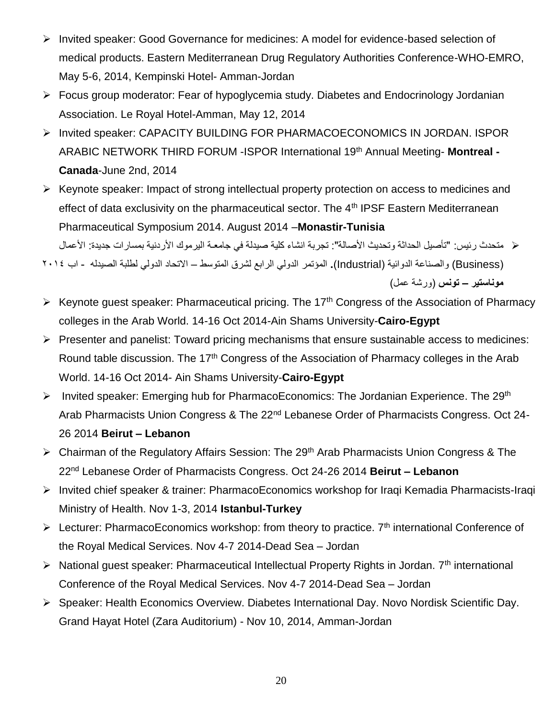- ▶ Invited speaker: Good Governance for medicines: A model for evidence-based selection of medical products. Eastern Mediterranean Drug Regulatory Authorities Conference-WHO-EMRO, May 5-6, 2014, Kempinski Hotel- Amman-Jordan
- Focus group moderator: Fear of hypoglycemia study. Diabetes and Endocrinology Jordanian Association. Le Royal Hotel-Amman, May 12, 2014
- > Invited speaker: CAPACITY BUILDING FOR PHARMACOECONOMICS IN JORDAN. ISPOR ARABIC NETWORK THIRD FORUM -ISPOR International 19th Annual Meeting- **Montreal - Canada**-June 2nd, 2014
- $\triangleright$  Keynote speaker: Impact of strong intellectual property protection on access to medicines and effect of data exclusivity on the pharmaceutical sector. The 4<sup>th</sup> IPSF Eastern Mediterranean Pharmaceutical Symposium 2014. August 2014 –**Monastir-Tunisia** متحدث رئيس: "تأصيل الحداثة وتحديث األصالة": تجربة انشاء كلية صيدلة في جامعـة اليرموك األردنية بمسارات جديدة: األعمال
- )Business (والصناعة الدوائية )Industrial)**.** المؤتمر الدولي الرابع لشرق المتوسط االتحاد الدولي لطلبة الصيدله اب 2014 **موناستير – تونس** )ورشة عمل(
- $\triangleright$  Keynote guest speaker: Pharmaceutical pricing. The 17<sup>th</sup> Congress of the Association of Pharmacy colleges in the Arab World. 14-16 Oct 2014-Ain Shams University-**Cairo-Egypt**
- $\triangleright$  Presenter and panelist: Toward pricing mechanisms that ensure sustainable access to medicines: Round table discussion. The 17<sup>th</sup> Congress of the Association of Pharmacy colleges in the Arab World. 14-16 Oct 2014- Ain Shams University-**Cairo-Egypt**
- Invited speaker: Emerging hub for PharmacoEconomics: The Jordanian Experience. The 29<sup>th</sup> Arab Pharmacists Union Congress & The 22<sup>nd</sup> Lebanese Order of Pharmacists Congress. Oct 24-26 2014 **Beirut – Lebanon**
- ▶ Chairman of the Regulatory Affairs Session: The 29<sup>th</sup> Arab Pharmacists Union Congress & The 22nd Lebanese Order of Pharmacists Congress. Oct 24-26 2014 **Beirut – Lebanon**
- Invited chief speaker & trainer: PharmacoEconomics workshop for Iraqi Kemadia Pharmacists-Iraqi Ministry of Health. Nov 1-3, 2014 **Istanbul-Turkey**
- Ecturer: PharmacoEconomics workshop: from theory to practice.  $7<sup>th</sup>$  international Conference of the Royal Medical Services. Nov 4-7 2014-Dead Sea – Jordan
- $\triangleright$  National guest speaker: Pharmaceutical Intellectual Property Rights in Jordan. 7<sup>th</sup> international Conference of the Royal Medical Services. Nov 4-7 2014-Dead Sea – Jordan
- Speaker: Health Economics Overview. Diabetes International Day. Novo Nordisk Scientific Day. Grand Hayat Hotel (Zara Auditorium) - Nov 10, 2014, Amman-Jordan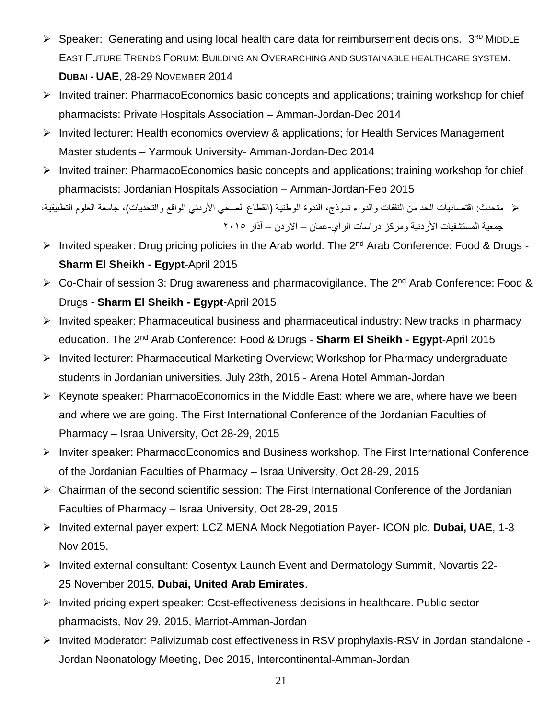- $\triangleright$  Speaker: Generating and using local health care data for reimbursement decisions.  $3^{RD}$  MIDDLE EAST FUTURE TRENDS FORUM: BUILDING AN OVERARCHING AND SUSTAINABLE HEALTHCARE SYSTEM. **DUBAI - UAE**, 28-29 NOVEMBER 2014
- $\triangleright$  Invited trainer: PharmacoEconomics basic concepts and applications; training workshop for chief pharmacists: Private Hospitals Association – Amman-Jordan-Dec 2014
- Invited lecturer: Health economics overview & applications; for Health Services Management Master students – Yarmouk University- Amman-Jordan-Dec 2014
- $\triangleright$  Invited trainer: PharmacoEconomics basic concepts and applications; training workshop for chief pharmacists: Jordanian Hospitals Association – Amman-Jordan-Feb 2015

 متحدث: اقتصاديات الحد من النفقات والدواء نموذج، الندوة الوطنية )القطاع الصحي األردني الواقع والتحديات(، جامعة العلوم التطبيقية، جمعية المستشفيات الأر دنية ومركز در اسات الر أي-عمان – الأردن – آذار ٢٠١٥

- > Invited speaker: Drug pricing policies in the Arab world. The 2<sup>nd</sup> Arab Conference: Food & Drugs -**Sharm El Sheikh - Egypt**-April 2015
- ▶ Co-Chair of session 3: Drug awareness and pharmacovigilance. The 2<sup>nd</sup> Arab Conference: Food & Drugs - **Sharm El Sheikh - Egypt**-April 2015
- Invited speaker: Pharmaceutical business and pharmaceutical industry: New tracks in pharmacy education. The 2nd Arab Conference: Food & Drugs - **Sharm El Sheikh - Egypt**-April 2015
- Invited lecturer: Pharmaceutical Marketing Overview; Workshop for Pharmacy undergraduate students in Jordanian universities. July 23th, 2015 - Arena Hotel Amman-Jordan
- $\triangleright$  Keynote speaker: PharmacoEconomics in the Middle East: where we are, where have we been and where we are going. The First International Conference of the Jordanian Faculties of Pharmacy – Israa University, Oct 28-29, 2015
- Inviter speaker: PharmacoEconomics and Business workshop. The First International Conference of the Jordanian Faculties of Pharmacy – Israa University, Oct 28-29, 2015
- Chairman of the second scientific session: The First International Conference of the Jordanian Faculties of Pharmacy – Israa University, Oct 28-29, 2015
- Invited external payer expert: LCZ MENA Mock Negotiation Payer- ICON plc. **Dubai, UAE**, 1-3 Nov 2015.
- Invited external consultant: Cosentyx Launch Event and Dermatology Summit, Novartis 22- 25 November 2015, **Dubai, United Arab Emirates**.
- Invited pricing expert speaker: Cost-effectiveness decisions in healthcare. Public sector pharmacists, Nov 29, 2015, Marriot-Amman-Jordan
- Invited Moderator: Palivizumab cost effectiveness in RSV prophylaxis-RSV in Jordan standalone Jordan Neonatology Meeting, Dec 2015, Intercontinental-Amman-Jordan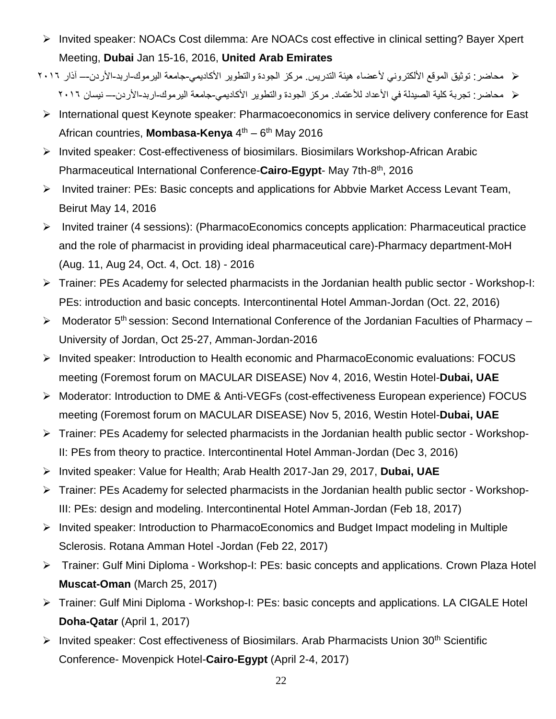- Invited speaker: NOACs Cost dilemma: Are NOACs cost effective in clinical setting? Bayer Xpert Meeting, **Dubai** Jan 15-16, 2016, **United Arab Emirates**
- ح محاضر: توثيق الموقع الألكتروني لأعضاء هيئة التدريس. مركز الجودة والتطوير الأكاديمي-جامعة اليرموك-اربد-الأردن-– آذار ٢٠١٦ محاضر: تجربة كلية الصيدلة في األعداد لألعتماد. مركز الجودة والتطوير األكاديمي-جامعة اليرموك-اربد-األردن-– نيسان 2016
- International quest Keynote speaker: Pharmacoeconomics in service delivery conference for East African countries, **Mombasa-Kenya** 4<sup>th</sup> – 6<sup>th</sup> May 2016
- Invited speaker: Cost-effectiveness of biosimilars. Biosimilars Workshop-African Arabic Pharmaceutical International Conference-Cairo-Egypt- May 7th-8<sup>th</sup>, 2016
- Invited trainer: PEs: Basic concepts and applications for Abbvie Market Access Levant Team, Beirut May 14, 2016
- Invited trainer (4 sessions): (PharmacoEconomics concepts application: Pharmaceutical practice and the role of pharmacist in providing ideal pharmaceutical care)-Pharmacy department-MoH (Aug. 11, Aug 24, Oct. 4, Oct. 18) - 2016
- $\triangleright$  Trainer: PEs Academy for selected pharmacists in the Jordanian health public sector Workshop-I: PEs: introduction and basic concepts. Intercontinental Hotel Amman-Jordan (Oct. 22, 2016)
- > Moderator 5<sup>th</sup> session: Second International Conference of the Jordanian Faculties of Pharmacy University of Jordan, Oct 25-27, Amman-Jordan-2016
- Invited speaker: Introduction to Health economic and PharmacoEconomic evaluations: FOCUS meeting (Foremost forum on MACULAR DISEASE) Nov 4, 2016, Westin Hotel-**Dubai, UAE**
- Moderator: Introduction to DME & Anti-VEGFs (cost-effectiveness European experience) FOCUS meeting (Foremost forum on MACULAR DISEASE) Nov 5, 2016, Westin Hotel-**Dubai, UAE**
- Trainer: PEs Academy for selected pharmacists in the Jordanian health public sector Workshop-II: PEs from theory to practice. Intercontinental Hotel Amman-Jordan (Dec 3, 2016)
- Invited speaker: Value for Health; Arab Health 2017-Jan 29, 2017, **Dubai, UAE**
- Trainer: PEs Academy for selected pharmacists in the Jordanian health public sector Workshop-III: PEs: design and modeling. Intercontinental Hotel Amman-Jordan (Feb 18, 2017)
- Invited speaker: Introduction to PharmacoEconomics and Budget Impact modeling in Multiple Sclerosis. Rotana Amman Hotel -Jordan (Feb 22, 2017)
- Trainer: Gulf Mini Diploma Workshop-I: PEs: basic concepts and applications. Crown Plaza Hotel **Muscat-Oman** (March 25, 2017)
- Trainer: Gulf Mini Diploma Workshop-I: PEs: basic concepts and applications. LA CIGALE Hotel **Doha-Qatar** (April 1, 2017)
- $\triangleright$  Invited speaker: Cost effectiveness of Biosimilars. Arab Pharmacists Union 30<sup>th</sup> Scientific Conference- Movenpick Hotel-**Cairo-Egypt** (April 2-4, 2017)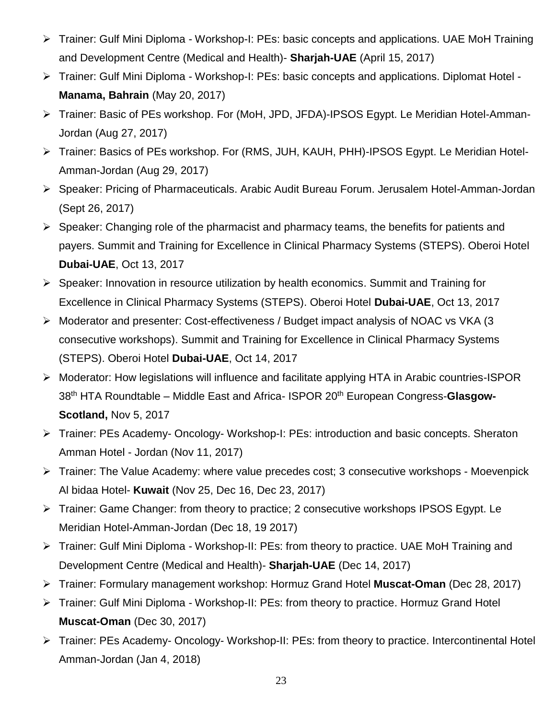- Trainer: Gulf Mini Diploma Workshop-I: PEs: basic concepts and applications. UAE MoH Training and Development Centre (Medical and Health)- **Sharjah-UAE** (April 15, 2017)
- Trainer: Gulf Mini Diploma Workshop-I: PEs: basic concepts and applications. Diplomat Hotel **Manama, Bahrain** (May 20, 2017)
- Trainer: Basic of PEs workshop. For (MoH, JPD, JFDA)-IPSOS Egypt. Le Meridian Hotel-Amman-Jordan (Aug 27, 2017)
- Trainer: Basics of PEs workshop. For (RMS, JUH, KAUH, PHH)-IPSOS Egypt. Le Meridian Hotel-Amman-Jordan (Aug 29, 2017)
- Speaker: Pricing of Pharmaceuticals. Arabic Audit Bureau Forum. Jerusalem Hotel-Amman-Jordan (Sept 26, 2017)
- $\triangleright$  Speaker: Changing role of the pharmacist and pharmacy teams, the benefits for patients and payers. Summit and Training for Excellence in Clinical Pharmacy Systems (STEPS). Oberoi Hotel **Dubai-UAE**, Oct 13, 2017
- $\triangleright$  Speaker: Innovation in resource utilization by health economics. Summit and Training for Excellence in Clinical Pharmacy Systems (STEPS). Oberoi Hotel **Dubai-UAE**, Oct 13, 2017
- Moderator and presenter: Cost-effectiveness / Budget impact analysis of NOAC vs VKA (3 consecutive workshops). Summit and Training for Excellence in Clinical Pharmacy Systems (STEPS). Oberoi Hotel **Dubai-UAE**, Oct 14, 2017
- Moderator: How legislations will influence and facilitate applying HTA in Arabic countries-ISPOR 38th HTA Roundtable – Middle East and Africa- ISPOR 20th European Congress-**Glasgow-Scotland,** Nov 5, 2017
- Trainer: PEs Academy- Oncology- Workshop-I: PEs: introduction and basic concepts. Sheraton Amman Hotel - Jordan (Nov 11, 2017)
- Trainer: The Value Academy: where value precedes cost; 3 consecutive workshops Moevenpick Al bidaa Hotel- **Kuwait** (Nov 25, Dec 16, Dec 23, 2017)
- Firainer: Game Changer: from theory to practice; 2 consecutive workshops IPSOS Egypt. Le Meridian Hotel-Amman-Jordan (Dec 18, 19 2017)
- Trainer: Gulf Mini Diploma Workshop-II: PEs: from theory to practice. UAE MoH Training and Development Centre (Medical and Health)- **Sharjah-UAE** (Dec 14, 2017)
- Trainer: Formulary management workshop: Hormuz Grand Hotel **Muscat-Oman** (Dec 28, 2017)
- Trainer: Gulf Mini Diploma Workshop-II: PEs: from theory to practice. Hormuz Grand Hotel **Muscat-Oman** (Dec 30, 2017)
- Frainer: PEs Academy- Oncology- Workshop-II: PEs: from theory to practice. Intercontinental Hotel Amman-Jordan (Jan 4, 2018)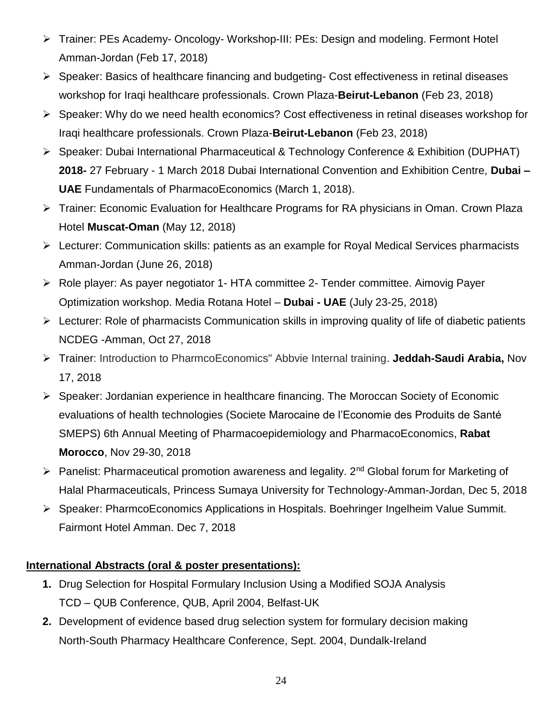- Trainer: PEs Academy- Oncology- Workshop-III: PEs: Design and modeling. Fermont Hotel Amman-Jordan (Feb 17, 2018)
- $\triangleright$  Speaker: Basics of healthcare financing and budgeting- Cost effectiveness in retinal diseases workshop for Iraqi healthcare professionals. Crown Plaza-**Beirut-Lebanon** (Feb 23, 2018)
- Speaker: Why do we need health economics? Cost effectiveness in retinal diseases workshop for Iraqi healthcare professionals. Crown Plaza-**Beirut-Lebanon** (Feb 23, 2018)
- Speaker: Dubai International Pharmaceutical & Technology Conference & Exhibition (DUPHAT) **2018-** 27 February - 1 March 2018 Dubai International Convention and Exhibition Centre, **Dubai – UAE** Fundamentals of PharmacoEconomics (March 1, 2018).
- Trainer: Economic Evaluation for Healthcare Programs for RA physicians in Oman. Crown Plaza Hotel **Muscat-Oman** (May 12, 2018)
- Lecturer: Communication skills: patients as an example for Royal Medical Services pharmacists Amman-Jordan (June 26, 2018)
- Role player: As payer negotiator 1- HTA committee 2- Tender committee. Aimovig Payer Optimization workshop. Media Rotana Hotel – **Dubai - UAE** (July 23-25, 2018)
- $\triangleright$  Lecturer: Role of pharmacists Communication skills in improving quality of life of diabetic patients NCDEG -Amman, Oct 27, 2018
- Trainer: Introduction to PharmcoEconomics" Abbvie Internal training. **Jeddah-Saudi Arabia,** Nov 17, 2018
- Speaker: Jordanian experience in healthcare financing. The Moroccan Society of Economic evaluations of health technologies (Societe Marocaine de l'Economie des Produits de Santé SMEPS) 6th Annual Meeting of Pharmacoepidemiology and PharmacoEconomics, **Rabat Morocco**, Nov 29-30, 2018
- Panelist: Pharmaceutical promotion awareness and legality.  $2^{nd}$  Global forum for Marketing of Halal Pharmaceuticals, Princess Sumaya University for Technology-Amman-Jordan, Dec 5, 2018
- Speaker: PharmcoEconomics Applications in Hospitals. Boehringer Ingelheim Value Summit. Fairmont Hotel Amman. Dec 7, 2018

## **International Abstracts (oral & poster presentations):**

- **1.** Drug Selection for Hospital Formulary Inclusion Using a Modified SOJA Analysis TCD – QUB Conference, QUB, April 2004, Belfast-UK
- **2.** Development of evidence based drug selection system for formulary decision making North-South Pharmacy Healthcare Conference, Sept. 2004, Dundalk-Ireland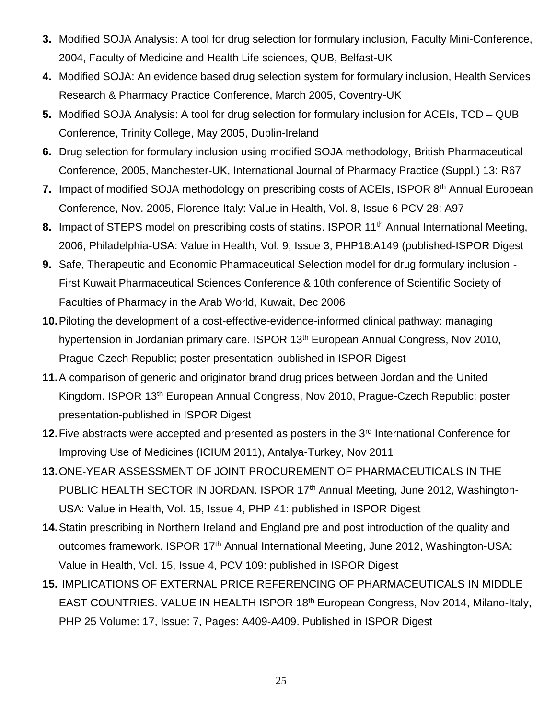- **3.** Modified SOJA Analysis: A tool for drug selection for formulary inclusion, Faculty Mini-Conference, 2004, Faculty of Medicine and Health Life sciences, QUB, Belfast-UK
- **4.** Modified SOJA: An evidence based drug selection system for formulary inclusion, Health Services Research & Pharmacy Practice Conference, March 2005, Coventry-UK
- **5.** Modified SOJA Analysis: A tool for drug selection for formulary inclusion for ACEIs, TCD QUB Conference, Trinity College, May 2005, Dublin-Ireland
- **6.** Drug selection for formulary inclusion using modified SOJA methodology, British Pharmaceutical Conference, 2005, Manchester-UK, International Journal of Pharmacy Practice (Suppl.) 13: R67
- 7. Impact of modified SOJA methodology on prescribing costs of ACEIs, ISPOR 8<sup>th</sup> Annual European Conference, Nov. 2005, Florence-Italy: Value in Health, Vol. 8, Issue 6 PCV 28: A97
- **8.** Impact of STEPS model on prescribing costs of statins. ISPOR 11<sup>th</sup> Annual International Meeting, 2006, Philadelphia-USA: Value in Health, Vol. 9, Issue 3, PHP18:A149 (published-ISPOR Digest
- **9.** Safe, Therapeutic and Economic Pharmaceutical Selection model for drug formulary inclusion First Kuwait Pharmaceutical Sciences Conference & 10th conference of Scientific Society of Faculties of Pharmacy in the Arab World, Kuwait, Dec 2006
- **10.**Piloting the development of a cost-effective-evidence-informed clinical pathway: managing hypertension in Jordanian primary care. ISPOR 13<sup>th</sup> European Annual Congress, Nov 2010, Prague-Czech Republic; poster presentation-published in ISPOR Digest
- **11.**A comparison of generic and originator brand drug prices between Jordan and the United Kingdom. ISPOR 13<sup>th</sup> European Annual Congress, Nov 2010, Prague-Czech Republic; poster presentation-published in ISPOR Digest
- 12. Five abstracts were accepted and presented as posters in the 3<sup>rd</sup> International Conference for Improving Use of Medicines (ICIUM 2011), Antalya-Turkey, Nov 2011
- **13.**ONE-YEAR ASSESSMENT OF JOINT PROCUREMENT OF PHARMACEUTICALS IN THE PUBLIC HEALTH SECTOR IN JORDAN. ISPOR 17<sup>th</sup> Annual Meeting, June 2012, Washington-USA: Value in Health, Vol. 15, Issue 4, PHP 41: published in ISPOR Digest
- **14.**Statin prescribing in Northern Ireland and England pre and post introduction of the quality and outcomes framework. ISPOR 17<sup>th</sup> Annual International Meeting, June 2012, Washington-USA: Value in Health, Vol. 15, Issue 4, PCV 109: published in ISPOR Digest
- **15.** IMPLICATIONS OF EXTERNAL PRICE REFERENCING OF PHARMACEUTICALS IN MIDDLE EAST COUNTRIES. VALUE IN HEALTH ISPOR 18<sup>th</sup> European Congress, Nov 2014, Milano-Italy, PHP 25 Volume: 17, Issue: 7, Pages: A409-A409. Published in ISPOR Digest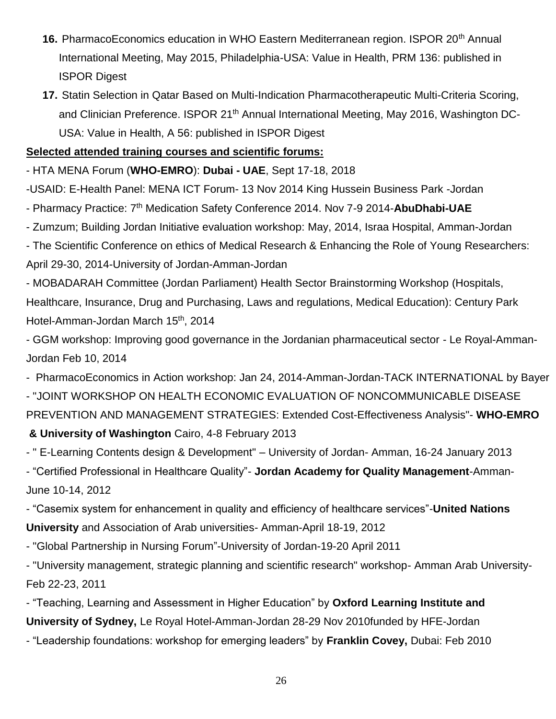- **16.** PharmacoEconomics education in WHO Eastern Mediterranean region. ISPOR 20<sup>th</sup> Annual International Meeting, May 2015, Philadelphia-USA: Value in Health, PRM 136: published in ISPOR Digest
- **17.** Statin Selection in Qatar Based on Multi-Indication Pharmacotherapeutic Multi-Criteria Scoring, and Clinician Preference. ISPOR 21<sup>th</sup> Annual International Meeting, May 2016, Washington DC-USA: Value in Health, A 56: published in ISPOR Digest

#### **Selected attended training courses and scientific forums:**

- HTA MENA Forum (**WHO-EMRO**): **Dubai - UAE**, Sept 17-18, 2018

-USAID: E-Health Panel: MENA ICT Forum- 13 Nov 2014 King Hussein Business Park -Jordan

- Pharmacy Practice: 7th Medication Safety Conference 2014. Nov 7-9 2014-**AbuDhabi-UAE**
- Zumzum; Building Jordan Initiative evaluation workshop: May, 2014, Israa Hospital, Amman-Jordan

- The Scientific Conference on ethics of Medical Research & Enhancing the Role of Young Researchers: April 29-30, 2014-University of Jordan-Amman-Jordan

- MOBADARAH Committee (Jordan Parliament) Health Sector Brainstorming Workshop (Hospitals, Healthcare, Insurance, Drug and Purchasing, Laws and regulations, Medical Education): Century Park Hotel-Amman-Jordan March 15<sup>th</sup>, 2014

- GGM workshop: Improving good governance in the Jordanian pharmaceutical sector - Le Royal-Amman-Jordan Feb 10, 2014

- PharmacoEconomics in Action workshop: Jan 24, 2014-Amman-Jordan-TACK INTERNATIONAL by Bayer

- "JOINT WORKSHOP ON HEALTH ECONOMIC EVALUATION OF NONCOMMUNICABLE DISEASE PREVENTION AND MANAGEMENT STRATEGIES: Extended Cost-Effectiveness Analysis"- **WHO-EMRO & University of Washington** Cairo, 4-8 February 2013

- " E-Learning Contents design & Development" – University of Jordan- Amman, 16-24 January 2013

- "Certified Professional in Healthcare Quality"- **Jordan Academy for Quality Management**-Amman-June 10-14, 2012

- "Casemix system for enhancement in quality and efficiency of healthcare services"-**United Nations University** and Association of Arab universities- Amman-April 18-19, 2012

- "Global Partnership in Nursing Forum"-University of Jordan-19-20 April 2011

- "University management, strategic planning and scientific research" workshop- Amman Arab University-Feb 22-23, 2011

- "Teaching, Learning and Assessment in Higher Education" by **Oxford Learning Institute and University of Sydney,** Le Royal Hotel-Amman-Jordan 28-29 Nov 2010funded by HFE-Jordan

- "Leadership foundations: workshop for emerging leaders" by **Franklin Covey,** Dubai: Feb 2010